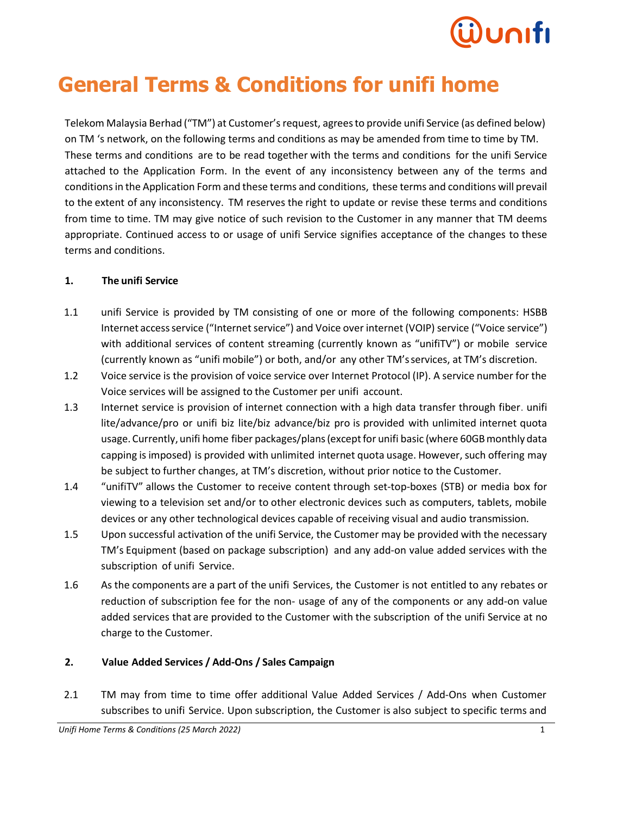# **General Terms & Conditions for unifi home**

Telekom Malaysia Berhad ("TM") at Customer's request, agreesto provide unifi Service (as defined below) on TM 's network, on the following terms and conditions as may be amended from time to time by TM. These terms and conditions are to be read together with the terms and conditions for the unifi Service attached to the Application Form. In the event of any inconsistency between any of the terms and conditions in the Application Form and these terms and conditions, these terms and conditions will prevail to the extent of any inconsistency. TM reserves the right to update or revise these terms and conditions from time to time. TM may give notice of such revision to the Customer in any manner that TM deems appropriate. Continued access to or usage of unifi Service signifies acceptance of the changes to these terms and conditions.

#### **1. The unifi Service**

- 1.1 unifi Service is provided by TM consisting of one or more of the following components: HSBB Internet access service ("Internet service") and Voice over internet (VOIP) service ("Voice service") with additional services of content streaming (currently known as "unifity") or mobile service (currently known as "unifi mobile") or both, and/or any other TM'sservices, at TM's discretion.
- 1.2 Voice service is the provision of voice service over Internet Protocol (IP). A service number for the Voice services will be assigned to the Customer per unifi account.
- 1.3 Internet service is provision of internet connection with a high data transfer through fiber. unifi lite/advance/pro or unifi biz lite/biz advance/biz pro is provided with unlimited internet quota usage. Currently, unifi home fiber packages/plans(exceptfor unifi basic (where 60GBmonthly data capping is imposed) is provided with unlimited internet quota usage. However, such offering may be subject to further changes, at TM's discretion, without prior notice to the Customer.
- 1.4 "unifiTV" allows the Customer to receive content through set-top-boxes (STB) or media box for viewing to a television set and/or to other electronic devices such as computers, tablets, mobile devices or any other technological devices capable of receiving visual and audio transmission.
- 1.5 Upon successful activation of the unifi Service, the Customer may be provided with the necessary TM's Equipment (based on package subscription) and any add-on value added services with the subscription of unifi Service.
- 1.6 As the components are a part of the unifi Services, the Customer is not entitled to any rebates or reduction of subscription fee for the non- usage of any of the components or any add-on value added services that are provided to the Customer with the subscription of the unifi Service at no charge to the Customer.

### **2. Value Added Services / Add-Ons / Sales Campaign**

2.1 TM may from time to time offer additional Value Added Services / Add-Ons when Customer subscribes to unifi Service. Upon subscription, the Customer is also subject to specific terms and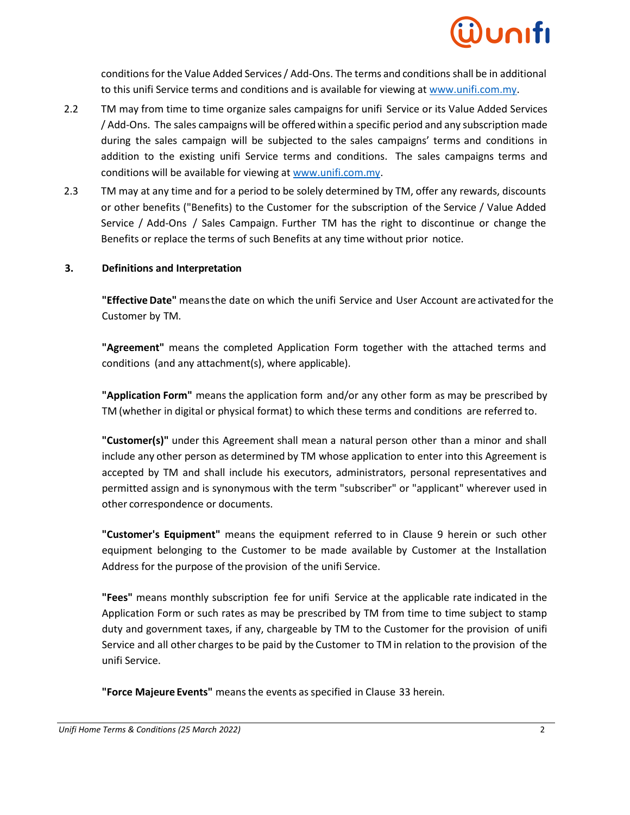

conditions for the Value Added Services/ Add-Ons. The terms and conditions shall be in additional to this unifi Service terms and conditions and is available for viewing at [www.unifi.com.my.](http://www.unifi.com.my/)

- 2.2 TM may from time to time organize sales campaigns for unifi Service or its Value Added Services / Add-Ons. The sales campaigns will be offered within a specific period and any subscription made during the sales campaign will be subjected to the sales campaigns' terms and conditions in addition to the existing unifi Service terms and conditions. The sales campaigns terms and conditions will be available for viewing at [www.unifi.com.my.](http://www.unifi.com.my/)
- 2.3 TM may at any time and for a period to be solely determined by TM, offer any rewards, discounts or other benefits ("Benefits) to the Customer for the subscription of the Service / Value Added Service / Add-Ons / Sales Campaign. Further TM has the right to discontinue or change the Benefits or replace the terms of such Benefits at any time without prior notice.

#### **3. Definitions and Interpretation**

**"Effective Date"** meansthe date on which the unifi Service and User Account are activated for the Customer by TM.

**"Agreement"** means the completed Application Form together with the attached terms and conditions (and any attachment(s), where applicable).

**"Application Form"** means the application form and/or any other form as may be prescribed by TM (whether in digital or physical format) to which these terms and conditions are referred to.

**"Customer(s)"** under this Agreement shall mean a natural person other than a minor and shall include any other person as determined by TM whose application to enter into this Agreement is accepted by TM and shall include his executors, administrators, personal representatives and permitted assign and is synonymous with the term "subscriber" or "applicant" wherever used in other correspondence or documents.

**"Customer's Equipment"** means the equipment referred to in Clause 9 herein or such other equipment belonging to the Customer to be made available by Customer at the Installation Address for the purpose of the provision of the unifi Service.

**"Fees"** means monthly subscription fee for unifi Service at the applicable rate indicated in the Application Form or such rates as may be prescribed by TM from time to time subject to stamp duty and government taxes, if any, chargeable by TM to the Customer for the provision of unifi Service and all other charges to be paid by the Customer to TM in relation to the provision of the unifi Service.

**"Force Majeure Events"** meansthe events asspecified in Clause 33 herein.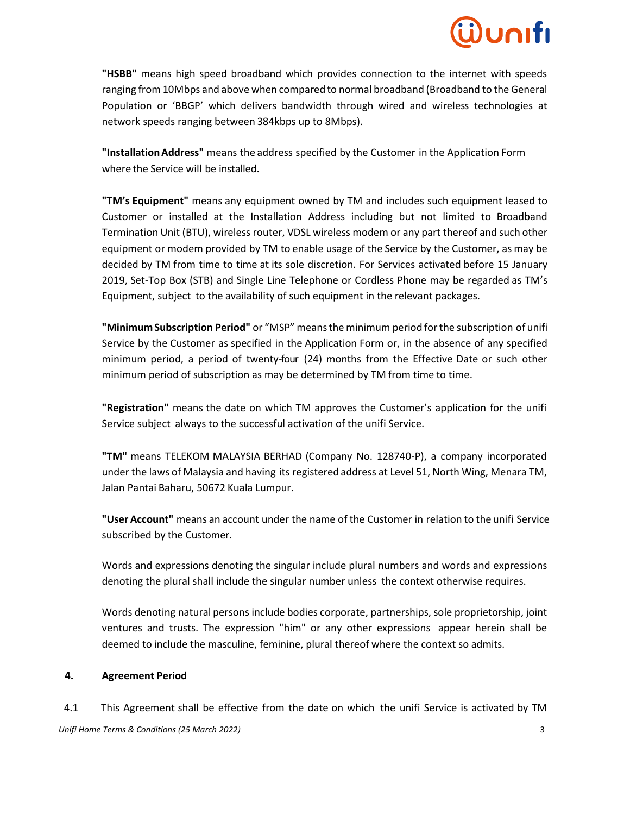**"HSBB"** means high speed broadband which provides connection to the internet with speeds ranging from 10Mbps and above when compared to normal broadband (Broadband to the General Population or 'BBGP' which delivers bandwidth through wired and wireless technologies at network speeds ranging between 384kbps up to 8Mbps).

**"InstallationAddress"** means the address specified by the Customer in the Application Form where the Service will be installed.

**"TM's Equipment"** means any equipment owned by TM and includes such equipment leased to Customer or installed at the Installation Address including but not limited to Broadband Termination Unit (BTU), wireless router, VDSL wireless modem or any part thereof and such other equipment or modem provided by TM to enable usage of the Service by the Customer, as may be decided by TM from time to time at its sole discretion. For Services activated before 15 January 2019, Set-Top Box (STB) and Single Line Telephone or Cordless Phone may be regarded as TM's Equipment, subject to the availability of such equipment in the relevant packages.

**"MinimumSubscription Period"** or "MSP" meansthe minimum period forthe subscription of unifi Service by the Customer as specified in the Application Form or, in the absence of any specified minimum period, a period of twenty-four (24) months from the Effective Date or such other minimum period of subscription as may be determined by TM from time to time.

**"Registration"** means the date on which TM approves the Customer's application for the unifi Service subject always to the successful activation of the unifi Service.

**"TM"** means TELEKOM MALAYSIA BERHAD (Company No. 128740-P), a company incorporated under the laws of Malaysia and having its registered address at Level 51, North Wing, Menara TM, Jalan Pantai Baharu, 50672 Kuala Lumpur.

**"User Account"** means an account under the name of the Customer in relation to the unifi Service subscribed by the Customer.

Words and expressions denoting the singular include plural numbers and words and expressions denoting the plural shall include the singular number unless the context otherwise requires.

Words denoting natural persons include bodies corporate, partnerships, sole proprietorship, joint ventures and trusts. The expression "him" or any other expressions appear herein shall be deemed to include the masculine, feminine, plural thereof where the context so admits.

### **4. Agreement Period**

4.1 This Agreement shall be effective from the date on which the unifi Service is activated by TM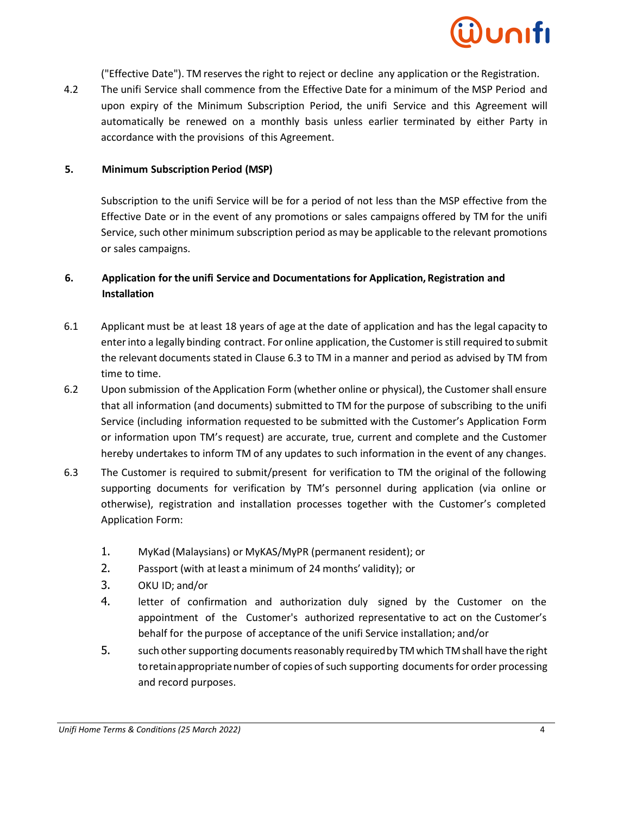

("Effective Date"). TM reserves the right to reject or decline any application or the Registration.

4.2 The unifi Service shall commence from the Effective Date for a minimum of the MSP Period and upon expiry of the Minimum Subscription Period, the unifi Service and this Agreement will automatically be renewed on a monthly basis unless earlier terminated by either Party in accordance with the provisions of this Agreement.

#### **5. Minimum Subscription Period (MSP)**

Subscription to the unifi Service will be for a period of not less than the MSP effective from the Effective Date or in the event of any promotions or sales campaigns offered by TM for the unifi Service, such other minimum subscription period asmay be applicable to the relevant promotions or sales campaigns.

### **6. Application for the unifi Service and Documentations for Application, Registration and Installation**

- 6.1 Applicant must be at least 18 years of age at the date of application and has the legal capacity to enterinto a legally binding contract. For online application, the Customer is still required to submit the relevant documents stated in Clause 6.3 to TM in a manner and period as advised by TM from time to time.
- 6.2 Upon submission of the Application Form (whether online or physical), the Customer shall ensure that all information (and documents) submitted to TM for the purpose of subscribing to the unifi Service (including information requested to be submitted with the Customer's Application Form or information upon TM's request) are accurate, true, current and complete and the Customer hereby undertakes to inform TM of any updates to such information in the event of any changes.
- 6.3 The Customer is required to submit/present for verification to TM the original of the following supporting documents for verification by TM's personnel during application (via online or otherwise), registration and installation processes together with the Customer's completed Application Form:
	- 1. MyKad (Malaysians) or MyKAS/MyPR (permanent resident); or
	- 2. Passport (with at least a minimum of 24 months' validity); or
	- 3. OKU ID; and/or
	- 4. letter of confirmation and authorization duly signed by the Customer on the appointment of the Customer's authorized representative to act on the Customer's behalf for the purpose of acceptance of the unifi Service installation; and/or
	- 5. such other supporting documents reasonably required by TM which TM shall have the right to retain appropriate number of copies of such supporting documents for order processing and record purposes.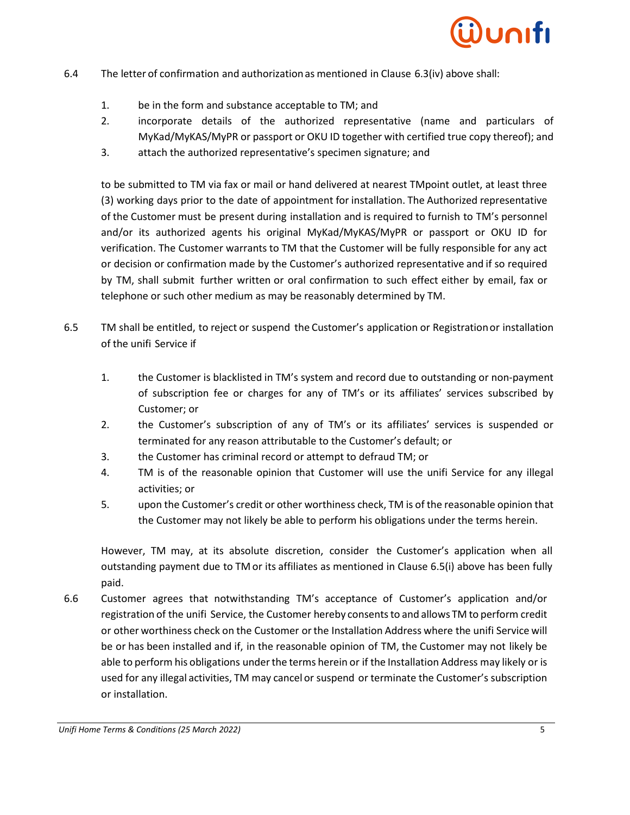

- 6.4 The letter of confirmation and authorizationas mentioned in Clause 6.3(iv) above shall:
	- 1. be in the form and substance acceptable to TM; and
	- 2. incorporate details of the authorized representative (name and particulars of MyKad/MyKAS/MyPR or passport or OKU ID together with certified true copy thereof); and
	- 3. attach the authorized representative's specimen signature; and

to be submitted to TM via fax or mail or hand delivered at nearest TMpoint outlet, at least three (3) working days prior to the date of appointment for installation. The Authorized representative of the Customer must be present during installation and is required to furnish to TM's personnel and/or its authorized agents his original MyKad/MyKAS/MyPR or passport or OKU ID for verification. The Customer warrants to TM that the Customer will be fully responsible for any act or decision or confirmation made by the Customer's authorized representative and if so required by TM, shall submit further written or oral confirmation to such effect either by email, fax or telephone or such other medium as may be reasonably determined by TM.

- 6.5 TM shall be entitled, to reject or suspend the Customer's application or Registrationor installation of the unifi Service if
	- 1. the Customer is blacklisted in TM's system and record due to outstanding or non-payment of subscription fee or charges for any of TM's or its affiliates' services subscribed by Customer; or
	- 2. the Customer's subscription of any of TM's or its affiliates' services is suspended or terminated for any reason attributable to the Customer's default; or
	- 3. the Customer has criminal record or attempt to defraud TM; or
	- 4. TM is of the reasonable opinion that Customer will use the unifi Service for any illegal activities; or
	- 5. upon the Customer's credit or other worthiness check, TM is of the reasonable opinion that the Customer may not likely be able to perform his obligations under the terms herein.

However, TM may, at its absolute discretion, consider the Customer's application when all outstanding payment due to TM or its affiliates as mentioned in Clause 6.5(i) above has been fully paid.

6.6 Customer agrees that notwithstanding TM's acceptance of Customer's application and/or registration of the unifi Service, the Customer hereby consentsto and allows TM to perform credit or other worthiness check on the Customer orthe Installation Address where the unifi Service will be or has been installed and if, in the reasonable opinion of TM, the Customer may not likely be able to perform his obligations under the terms herein or if the Installation Address may likely or is used for any illegal activities, TM may cancel or suspend or terminate the Customer's subscription or installation.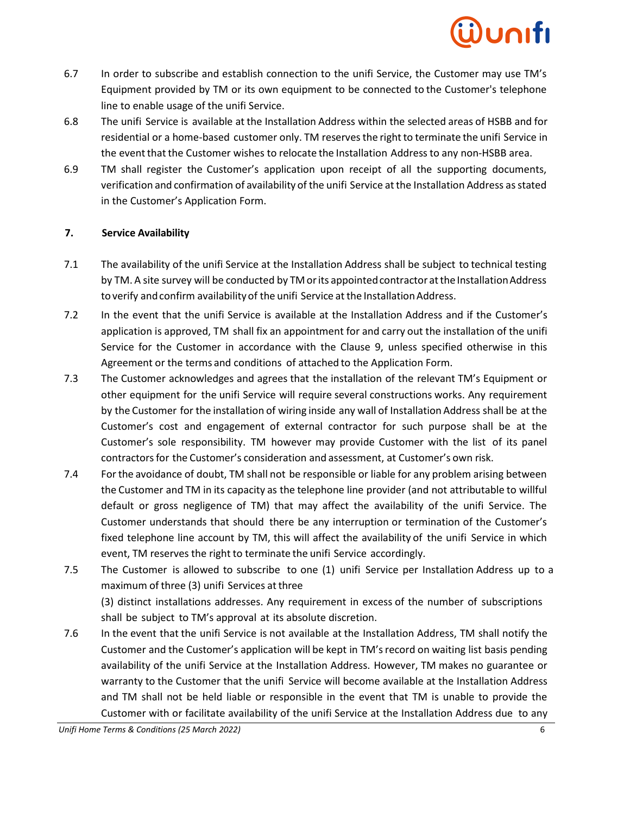- 6.7 In order to subscribe and establish connection to the unifi Service, the Customer may use TM's Equipment provided by TM or its own equipment to be connected to the Customer's telephone line to enable usage of the unifi Service.
- 6.8 The unifi Service is available at the Installation Address within the selected areas of HSBB and for residential or a home-based customer only. TM reserves the right to terminate the unifi Service in the event that the Customer wishes to relocate the Installation Address to any non-HSBB area.
- 6.9 TM shall register the Customer's application upon receipt of all the supporting documents, verification and confirmation of availability of the unifi Service atthe Installation Address as stated in the Customer's Application Form.

### **7. Service Availability**

- 7.1 The availability of the unifi Service at the Installation Address shall be subject to technical testing by TM. A site survey will be conducted by TM or its appointed contractor at the Installation Address to verify and confirm availability of the unifi Service at the Installation Address.
- 7.2 In the event that the unifi Service is available at the Installation Address and if the Customer's application is approved, TM shall fix an appointment for and carry out the installation of the unifi Service for the Customer in accordance with the Clause 9, unless specified otherwise in this Agreement or the terms and conditions of attached to the Application Form.
- 7.3 The Customer acknowledges and agrees that the installation of the relevant TM's Equipment or other equipment for the unifi Service will require several constructions works. Any requirement by the Customer for the installation of wiring inside any wall of Installation Address shall be at the Customer's cost and engagement of external contractor for such purpose shall be at the Customer's sole responsibility. TM however may provide Customer with the list of its panel contractorsfor the Customer's consideration and assessment, at Customer's own risk.
- 7.4 Forthe avoidance of doubt, TM shall not be responsible or liable for any problem arising between the Customer and TM in its capacity as the telephone line provider (and not attributable to willful default or gross negligence of TM) that may affect the availability of the unifi Service. The Customer understands that should there be any interruption or termination of the Customer's fixed telephone line account by TM, this will affect the availability of the unifi Service in which event, TM reserves the right to terminate the unifi Service accordingly.
- 7.5 The Customer is allowed to subscribe to one (1) unifi Service per Installation Address up to a maximum of three (3) unifi Services at three

(3) distinct installations addresses. Any requirement in excess of the number of subscriptions shall be subject to TM's approval at its absolute discretion.

7.6 In the event that the unifi Service is not available at the Installation Address, TM shall notify the Customer and the Customer's application will be kept in TM'srecord on waiting list basis pending availability of the unifi Service at the Installation Address. However, TM makes no guarantee or warranty to the Customer that the unifi Service will become available at the Installation Address and TM shall not be held liable or responsible in the event that TM is unable to provide the Customer with or facilitate availability of the unifi Service at the Installation Address due to any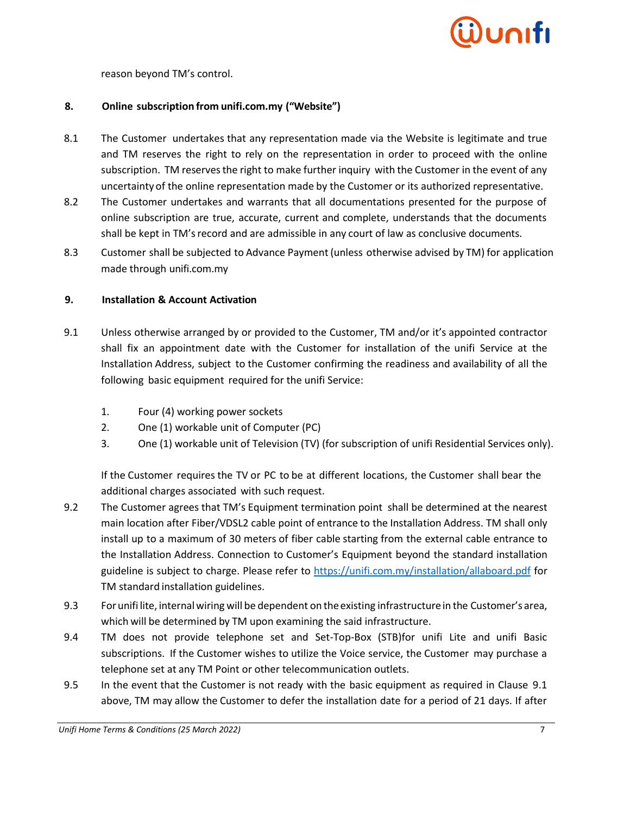

reason beyond TM's control.

#### **8. Online subscription from unifi.com.my ("Website")**

- 8.1 The Customer undertakes that any representation made via the Website is legitimate and true and TM reserves the right to rely on the representation in order to proceed with the online subscription. TM reserves the right to make further inquiry with the Customer in the event of any uncertainty of the online representation made by the Customer or its authorized representative.
- 8.2 The Customer undertakes and warrants that all documentations presented for the purpose of online subscription are true, accurate, current and complete, understands that the documents shall be kept in TM'srecord and are admissible in any court of law as conclusive documents.
- 8.3 Customer shall be subjected to Advance Payment(unless otherwise advised by TM) for application made through unifi.com.my

#### **9. Installation & Account Activation**

- 9.1 Unless otherwise arranged by or provided to the Customer, TM and/or it's appointed contractor shall fix an appointment date with the Customer for installation of the unifi Service at the Installation Address, subject to the Customer confirming the readiness and availability of all the following basic equipment required for the unifi Service:
	- 1. Four (4) working power sockets
	- 2. One (1) workable unit of Computer (PC)
	- 3. One (1) workable unit of Television (TV) (for subscription of unifi Residential Services only).

If the Customer requires the TV or PC to be at different locations, the Customer shall bear the additional charges associated with such request.

- 9.2 The Customer agrees that TM's Equipment termination point shall be determined at the nearest main location after Fiber/VDSL2 cable point of entrance to the Installation Address. TM shall only install up to a maximum of 30 meters of fiber cable starting from the external cable entrance to the Installation Address. Connection to Customer's Equipment beyond the standard installation guideline is subject to charge. Please refer to<https://unifi.com.my/installation/allaboard.pdf> for TM standard installation guidelines.
- 9.3 For unifi lite, internal wiring will be dependent on the existing infrastructure in the Customer's area, which will be determined by TM upon examining the said infrastructure.
- 9.4 TM does not provide telephone set and Set-Top-Box (STB)for unifi Lite and unifi Basic subscriptions. If the Customer wishes to utilize the Voice service, the Customer may purchase a telephone set at any TM Point or other telecommunication outlets.
- 9.5 In the event that the Customer is not ready with the basic equipment as required in Clause 9.1 above, TM may allow the Customer to defer the installation date for a period of 21 days. If after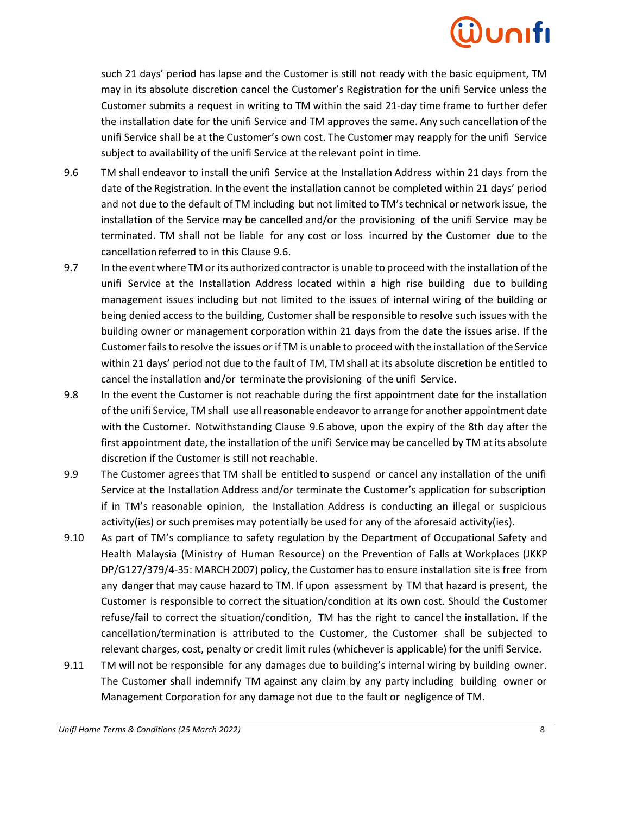such 21 days' period has lapse and the Customer is still not ready with the basic equipment, TM may in its absolute discretion cancel the Customer's Registration for the unifi Service unless the Customer submits a request in writing to TM within the said 21-day time frame to further defer the installation date for the unifi Service and TM approves the same. Any such cancellation of the unifi Service shall be at the Customer's own cost. The Customer may reapply for the unifi Service subject to availability of the unifi Service at the relevant point in time.

- 9.6 TM shall endeavor to install the unifi Service at the Installation Address within 21 days from the date of the Registration. In the event the installation cannot be completed within 21 days' period and not due to the default of TM including but not limited to TM'stechnical or network issue, the installation of the Service may be cancelled and/or the provisioning of the unifi Service may be terminated. TM shall not be liable for any cost or loss incurred by the Customer due to the cancellationreferred to in this Clause 9.6.
- 9.7 In the event where TM or its authorized contractoris unable to proceed with the installation of the unifi Service at the Installation Address located within a high rise building due to building management issues including but not limited to the issues of internal wiring of the building or being denied access to the building, Customer shall be responsible to resolve such issues with the building owner or management corporation within 21 days from the date the issues arise. If the Customer fails to resolve the issues or if TM is unable to proceedwith the installation of the Service within 21 days' period not due to the fault of TM, TM shall at its absolute discretion be entitled to cancel the installation and/or terminate the provisioning of the unifi Service.
- 9.8 In the event the Customer is not reachable during the first appointment date for the installation of the unifi Service, TM shall use all reasonable endeavor to arrange for another appointment date with the Customer. Notwithstanding Clause 9.6 above, upon the expiry of the 8th day after the first appointment date, the installation of the unifi Service may be cancelled by TM at its absolute discretion if the Customer is still not reachable.
- 9.9 The Customer agrees that TM shall be entitled to suspend or cancel any installation of the unifi Service at the Installation Address and/or terminate the Customer's application for subscription if in TM's reasonable opinion, the Installation Address is conducting an illegal or suspicious activity(ies) or such premises may potentially be used for any of the aforesaid activity(ies).
- 9.10 As part of TM's compliance to safety regulation by the Department of Occupational Safety and Health Malaysia (Ministry of Human Resource) on the Prevention of Falls at Workplaces (JKKP DP/G127/379/4-35: MARCH 2007) policy, the Customer hasto ensure installation site is free from any danger that may cause hazard to TM. If upon assessment by TM that hazard is present, the Customer is responsible to correct the situation/condition at its own cost. Should the Customer refuse/fail to correct the situation/condition, TM has the right to cancel the installation. If the cancellation/termination is attributed to the Customer, the Customer shall be subjected to relevant charges, cost, penalty or credit limit rules (whichever is applicable) for the unifi Service.
- 9.11 TM will not be responsible for any damages due to building's internal wiring by building owner. The Customer shall indemnify TM against any claim by any party including building owner or Management Corporation for any damage not due to the fault or negligence of TM.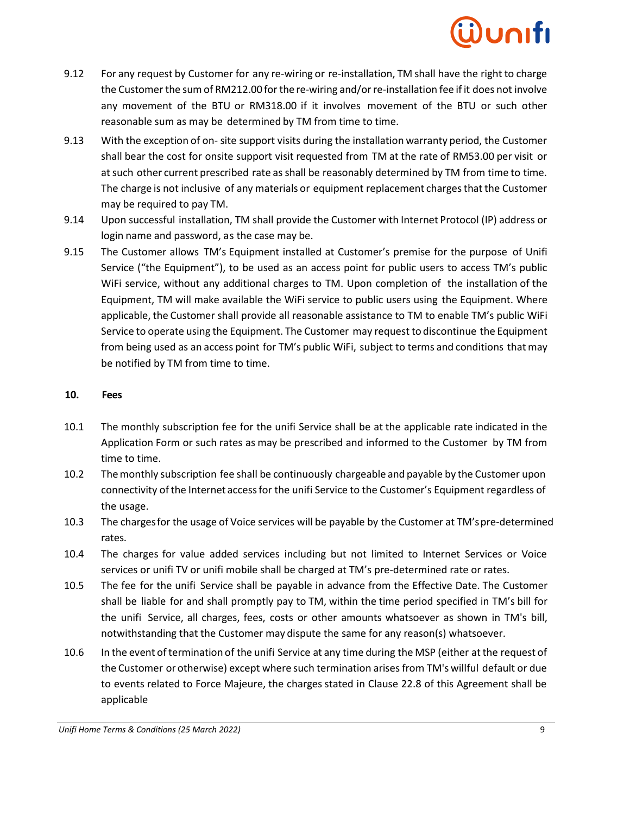- 9.12 For any request by Customer for any re-wiring or re-installation, TM shall have the right to charge the Customer the sumof RM212.00 for the re-wiring and/orre-installation fee ifit does not involve any movement of the BTU or RM318.00 if it involves movement of the BTU or such other reasonable sum as may be determined by TM from time to time.
- 9.13 With the exception of on- site support visits during the installation warranty period, the Customer shall bear the cost for onsite support visit requested from TM at the rate of RM53.00 per visit or atsuch other current prescribed rate as shall be reasonably determined by TM from time to time. The charge is not inclusive of any materials or equipment replacement charges that the Customer may be required to pay TM.
- 9.14 Upon successful installation, TM shall provide the Customer with Internet Protocol (IP) address or login name and password, as the case may be.
- 9.15 The Customer allows TM's Equipment installed at Customer's premise for the purpose of Unifi Service ("the Equipment"), to be used as an access point for public users to access TM's public WiFi service, without any additional charges to TM. Upon completion of the installation of the Equipment, TM will make available the WiFi service to public users using the Equipment. Where applicable, the Customer shall provide all reasonable assistance to TM to enable TM's public WiFi Service to operate using the Equipment. The Customer may request to discontinue the Equipment from being used as an access point for TM's public WiFi, subject to terms and conditions thatmay be notified by TM from time to time.

#### **10. Fees**

- 10.1 The monthly subscription fee for the unifi Service shall be at the applicable rate indicated in the Application Form or such rates as may be prescribed and informed to the Customer by TM from time to time.
- 10.2 The monthly subscription fee shall be continuously chargeable and payable by the Customer upon connectivity ofthe Internet accessfor the unifi Service to the Customer's Equipment regardless of the usage.
- 10.3 The chargesfor the usage of Voice services will be payable by the Customer at TM'spre-determined rates.
- 10.4 The charges for value added services including but not limited to Internet Services or Voice services or unifi TV or unifi mobile shall be charged at TM's pre-determined rate or rates.
- 10.5 The fee for the unifi Service shall be payable in advance from the Effective Date. The Customer shall be liable for and shall promptly pay to TM, within the time period specified in TM's bill for the unifi Service, all charges, fees, costs or other amounts whatsoever as shown in TM's bill, notwithstanding that the Customer may dispute the same for any reason(s) whatsoever.
- 10.6 In the event oftermination of the unifi Service at any time during the MSP (either atthe request of the Customer or otherwise) except where such termination arises from TM's willful default or due to events related to Force Majeure, the charges stated in Clause 22.8 of this Agreement shall be applicable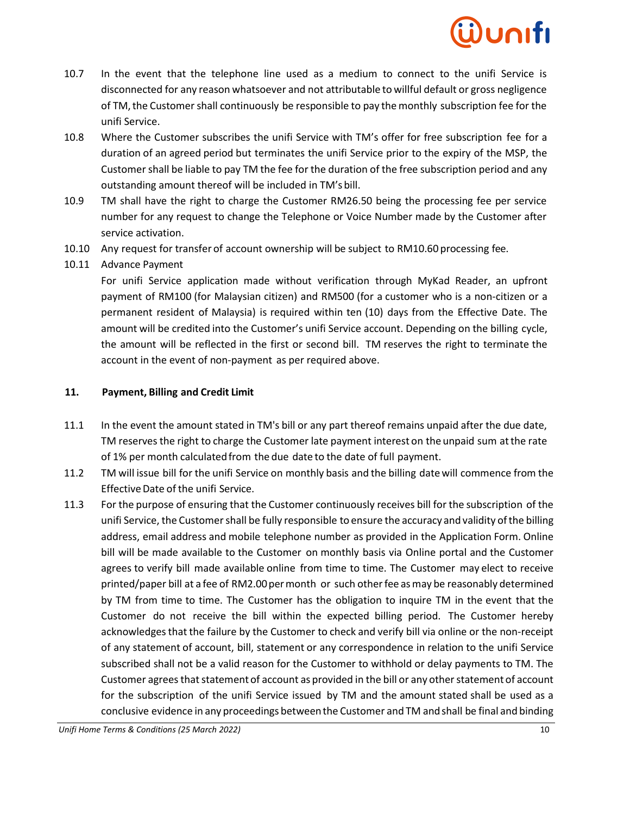- 10.7 In the event that the telephone line used as a medium to connect to the unifi Service is disconnected for any reason whatsoever and not attributable to willful default or gross negligence of TM, the Customer shall continuously be responsible to pay the monthly subscription fee for the unifi Service.
- 10.8 Where the Customer subscribes the unifi Service with TM's offer for free subscription fee for a duration of an agreed period but terminates the unifi Service prior to the expiry of the MSP, the Customer shall be liable to pay TM the fee for the duration of the free subscription period and any outstanding amount thereof will be included in TM's bill.
- 10.9 TM shall have the right to charge the Customer RM26.50 being the processing fee per service number for any request to change the Telephone or Voice Number made by the Customer after service activation.
- 10.10 Any request for transfer of account ownership will be subject to RM10.60 processing fee.
- 10.11 Advance Payment

For unifi Service application made without verification through MyKad Reader, an upfront payment of RM100 (for Malaysian citizen) and RM500 (for a customer who is a non-citizen or a permanent resident of Malaysia) is required within ten (10) days from the Effective Date. The amount will be credited into the Customer's unifi Service account. Depending on the billing cycle, the amount will be reflected in the first or second bill. TM reserves the right to terminate the account in the event of non-payment as per required above.

### **11. Payment, Billing and Credit Limit**

- 11.1 In the event the amount stated in TM's bill or any part thereof remains unpaid after the due date, TM reserves the right to charge the Customer late payment interest on the unpaid sum at the rate of 1% per month calculatedfrom the due date to the date of full payment.
- 11.2 TM will issue bill for the unifi Service on monthly basis and the billing datewill commence from the Effective Date of the unifi Service.
- 11.3 For the purpose of ensuring that the Customer continuously receives bill for the subscription of the unifi Service, the Customer shall be fully responsible to ensure the accuracy and validity ofthe billing address, email address and mobile telephone number as provided in the Application Form. Online bill will be made available to the Customer on monthly basis via Online portal and the Customer agrees to verify bill made available online from time to time. The Customer may elect to receive printed/paper bill at a fee of RM2.00 per month or such other fee as may be reasonably determined by TM from time to time. The Customer has the obligation to inquire TM in the event that the Customer do not receive the bill within the expected billing period. The Customer hereby acknowledges that the failure by the Customer to check and verify bill via online or the non-receipt of any statement of account, bill, statement or any correspondence in relation to the unifi Service subscribed shall not be a valid reason for the Customer to withhold or delay payments to TM. The Customer agrees that statement of account as provided in the bill or any other statement of account for the subscription of the unifi Service issued by TM and the amount stated shall be used as a conclusive evidence in any proceedings betweenthe Customer and TM andshall be final and binding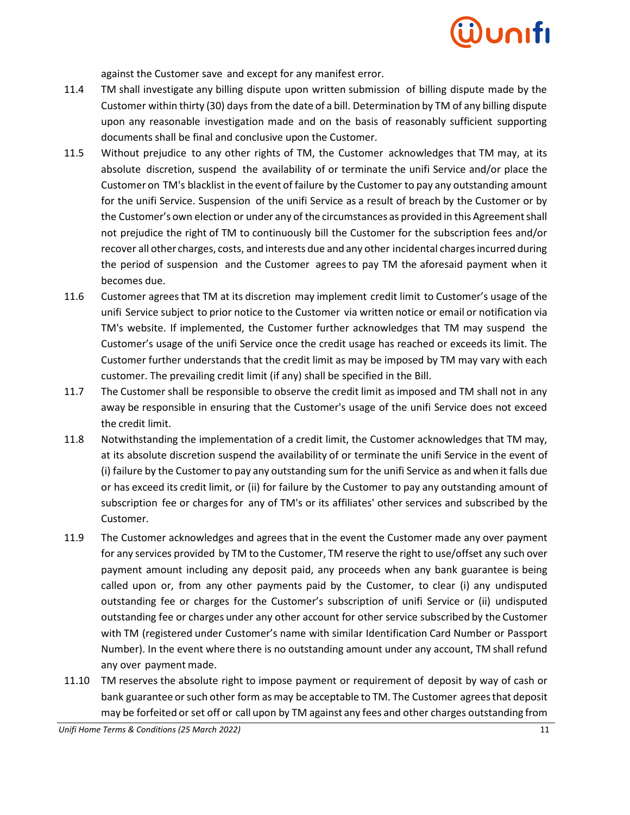

against the Customer save and except for any manifest error.

- 11.4 TM shall investigate any billing dispute upon written submission of billing dispute made by the Customer within thirty (30) days from the date of a bill. Determination by TM of any billing dispute upon any reasonable investigation made and on the basis of reasonably sufficient supporting documents shall be final and conclusive upon the Customer.
- 11.5 Without prejudice to any other rights of TM, the Customer acknowledges that TM may, at its absolute discretion, suspend the availability of or terminate the unifi Service and/or place the Customer on TM's blacklist in the event of failure by the Customer to pay any outstanding amount for the unifi Service. Suspension of the unifi Service as a result of breach by the Customer or by the Customer's own election or under any of the circumstances as provided in this Agreementshall not prejudice the right of TM to continuously bill the Customer for the subscription fees and/or recover all other charges, costs, and interests due and any other incidental charges incurred during the period of suspension and the Customer agrees to pay TM the aforesaid payment when it becomes due.
- 11.6 Customer agreesthat TM at its discretion may implement credit limit to Customer's usage of the unifi Service subject to prior notice to the Customer via written notice or email or notification via TM's website. If implemented, the Customer further acknowledges that TM may suspend the Customer's usage of the unifi Service once the credit usage has reached or exceeds its limit. The Customer further understands that the credit limit as may be imposed by TM may vary with each customer. The prevailing credit limit (if any) shall be specified in the Bill.
- 11.7 The Customer shall be responsible to observe the credit limit as imposed and TM shall not in any away be responsible in ensuring that the Customer's usage of the unifi Service does not exceed the credit limit.
- 11.8 Notwithstanding the implementation of a credit limit, the Customer acknowledges that TM may, at its absolute discretion suspend the availability of or terminate the unifi Service in the event of (i) failure by the Customer to pay any outstanding sum for the unifi Service as andwhen it falls due or has exceed its credit limit, or (ii) for failure by the Customer to pay any outstanding amount of subscription fee or chargesfor any of TM's or its affiliates' other services and subscribed by the Customer.
- 11.9 The Customer acknowledges and agrees that in the event the Customer made any over payment for any services provided by TM to the Customer, TM reserve the right to use/offset any such over payment amount including any deposit paid, any proceeds when any bank guarantee is being called upon or, from any other payments paid by the Customer, to clear (i) any undisputed outstanding fee or charges for the Customer's subscription of unifi Service or (ii) undisputed outstanding fee or charges under any other account for other service subscribed by the Customer with TM (registered under Customer's name with similar Identification Card Number or Passport Number). In the event where there is no outstanding amount under any account, TM shall refund any over payment made.
- 11.10 TM reserves the absolute right to impose payment or requirement of deposit by way of cash or bank guarantee orsuch other form as may be acceptable to TM. The Customer agreesthat deposit may be forfeited or set off or call upon by TM against any fees and other charges outstanding from

*Unifi Home Terms & Conditions (25 March 2022)* 11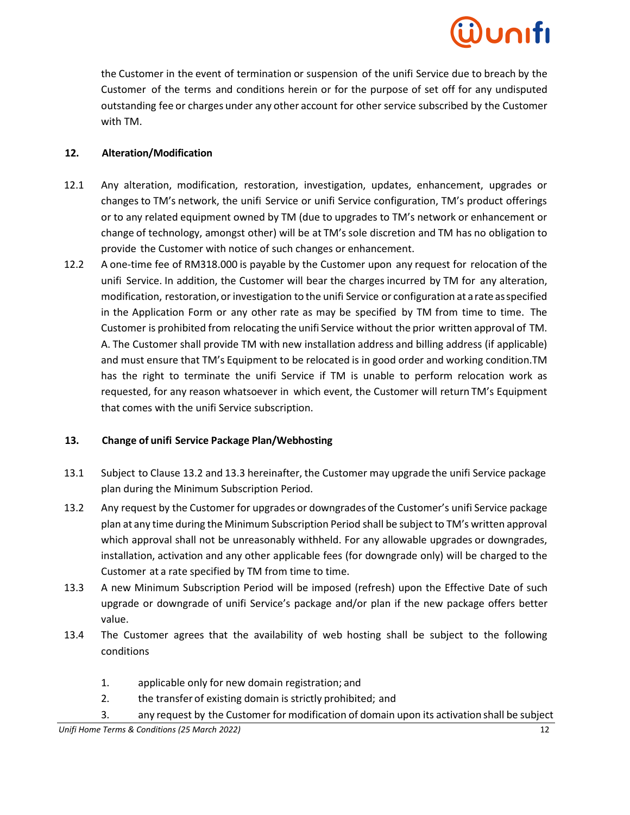the Customer in the event of termination or suspension of the unifi Service due to breach by the Customer of the terms and conditions herein or for the purpose of set off for any undisputed outstanding fee or charges under any other account for other service subscribed by the Customer with TM.

## **12. Alteration/Modification**

- 12.1 Any alteration, modification, restoration, investigation, updates, enhancement, upgrades or changes to TM's network, the unifi Service or unifi Service configuration, TM's product offerings or to any related equipment owned by TM (due to upgrades to TM's network or enhancement or change of technology, amongst other) will be at TM's sole discretion and TM has no obligation to provide the Customer with notice of such changes or enhancement.
- 12.2 A one-time fee of RM318.000 is payable by the Customer upon any request for relocation of the unifi Service. In addition, the Customer will bear the charges incurred by TM for any alteration, modification, restoration, or investigation to the unifi Service or configuration at arate asspecified in the Application Form or any other rate as may be specified by TM from time to time. The Customer is prohibited from relocating the unifi Service without the prior written approval of TM. A. The Customer shall provide TM with new installation address and billing address (if applicable) and must ensure that TM's Equipment to be relocated is in good order and working condition.TM has the right to terminate the unifi Service if TM is unable to perform relocation work as requested, for any reason whatsoever in which event, the Customer will return TM's Equipment that comes with the unifi Service subscription.

## **13. Change of unifi Service Package Plan/Webhosting**

- 13.1 Subject to Clause 13.2 and 13.3 hereinafter, the Customer may upgrade the unifi Service package plan during the Minimum Subscription Period.
- 13.2 Any request by the Customer for upgrades or downgrades of the Customer's unifi Service package plan at any time during the Minimum Subscription Period shall be subject to TM's written approval which approval shall not be unreasonably withheld. For any allowable upgrades or downgrades, installation, activation and any other applicable fees (for downgrade only) will be charged to the Customer at a rate specified by TM from time to time.
- 13.3 A new Minimum Subscription Period will be imposed (refresh) upon the Effective Date of such upgrade or downgrade of unifi Service's package and/or plan if the new package offers better value.
- 13.4 The Customer agrees that the availability of web hosting shall be subject to the following conditions
	- 1. applicable only for new domain registration; and
	- 2. the transfer of existing domain is strictly prohibited; and
	- 3. any request by the Customer for modification of domain upon its activation shall be subject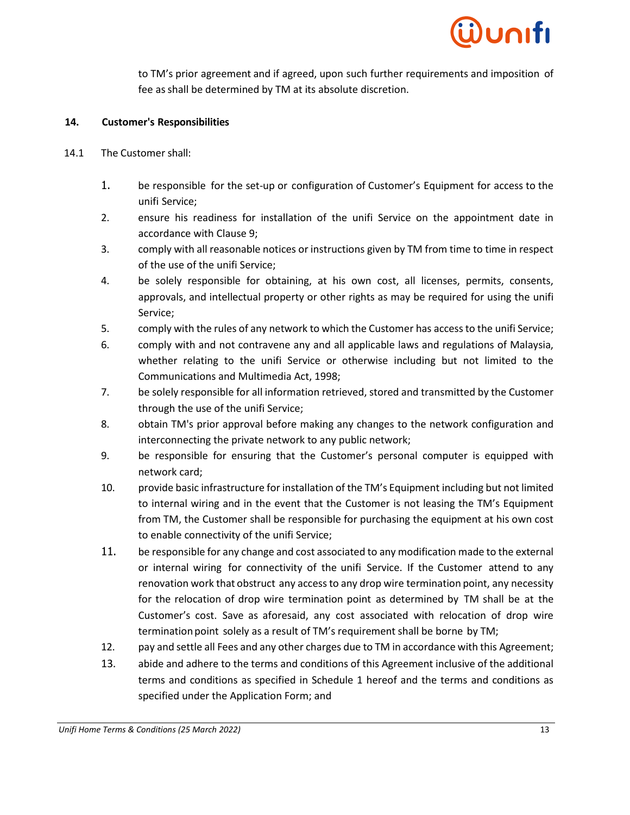to TM's prior agreement and if agreed, upon such further requirements and imposition of fee as shall be determined by TM at its absolute discretion.

### **14. Customer's Responsibilities**

- 14.1 The Customer shall:
	- 1. be responsible for the set-up or configuration of Customer's Equipment for access to the unifi Service;
	- 2. ensure his readiness for installation of the unifi Service on the appointment date in accordance with Clause 9;
	- 3. comply with all reasonable notices or instructions given by TM from time to time in respect of the use of the unifi Service;
	- 4. be solely responsible for obtaining, at his own cost, all licenses, permits, consents, approvals, and intellectual property or other rights as may be required for using the unifi Service;
	- 5. comply with the rules of any network to which the Customer has accessto the unifi Service;
	- 6. comply with and not contravene any and all applicable laws and regulations of Malaysia, whether relating to the unifi Service or otherwise including but not limited to the Communications and Multimedia Act, 1998;
	- 7. be solely responsible for all information retrieved, stored and transmitted by the Customer through the use of the unifi Service;
	- 8. obtain TM's prior approval before making any changes to the network configuration and interconnecting the private network to any public network;
	- 9. be responsible for ensuring that the Customer's personal computer is equipped with network card;
	- 10. provide basic infrastructure for installation of the TM's Equipment including but not limited to internal wiring and in the event that the Customer is not leasing the TM's Equipment from TM, the Customer shall be responsible for purchasing the equipment at his own cost to enable connectivity of the unifi Service;
	- 11. be responsible for any change and cost associated to any modification made to the external or internal wiring for connectivity of the unifi Service. If the Customer attend to any renovation work that obstruct any accessto any drop wire termination point, any necessity for the relocation of drop wire termination point as determined by TM shall be at the Customer's cost. Save as aforesaid, any cost associated with relocation of drop wire termination point solely as a result of TM's requirement shall be borne by TM;
	- 12. pay and settle all Fees and any other charges due to TM in accordance with this Agreement;
	- 13. abide and adhere to the terms and conditions of this Agreement inclusive of the additional terms and conditions as specified in Schedule 1 hereof and the terms and conditions as specified under the Application Form; and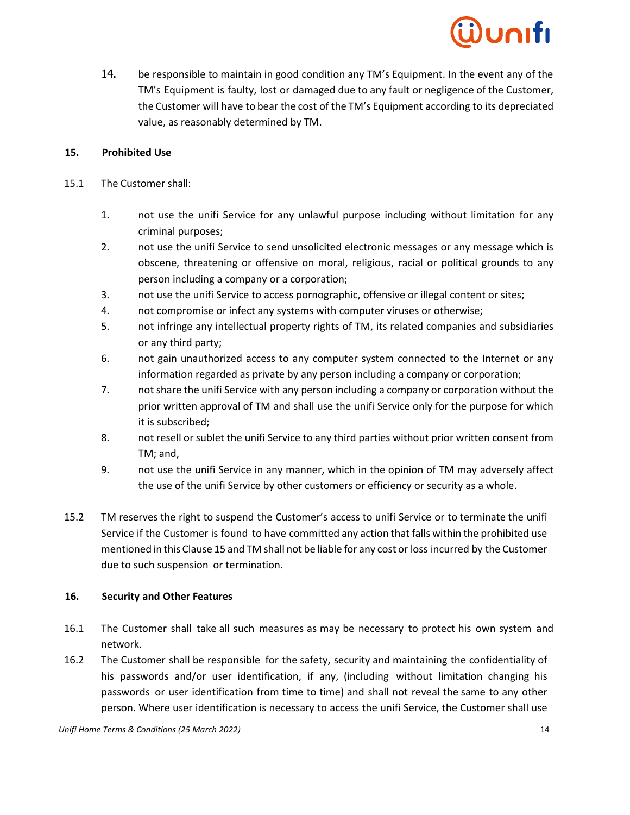14. be responsible to maintain in good condition any TM's Equipment. In the event any of the TM's Equipment is faulty, lost or damaged due to any fault or negligence of the Customer, the Customer will have to bear the cost of the TM's Equipment according to its depreciated value, as reasonably determined by TM.

## **15. Prohibited Use**

- 15.1 The Customer shall:
	- 1. not use the unifi Service for any unlawful purpose including without limitation for any criminal purposes;
	- 2. not use the unifi Service to send unsolicited electronic messages or any message which is obscene, threatening or offensive on moral, religious, racial or political grounds to any person including a company or a corporation;
	- 3. not use the unifi Service to access pornographic, offensive or illegal content or sites;
	- 4. not compromise or infect any systems with computer viruses or otherwise;
	- 5. not infringe any intellectual property rights of TM, its related companies and subsidiaries or any third party;
	- 6. not gain unauthorized access to any computer system connected to the Internet or any information regarded as private by any person including a company or corporation;
	- 7. not share the unifi Service with any person including a company or corporation without the prior written approval of TM and shall use the unifi Service only for the purpose for which it is subscribed;
	- 8. not resell or sublet the unifi Service to any third parties without prior written consent from TM; and,
	- 9. not use the unifi Service in any manner, which in the opinion of TM may adversely affect the use of the unifi Service by other customers or efficiency or security as a whole.
- 15.2 TM reserves the right to suspend the Customer's access to unifi Service or to terminate the unifi Service if the Customer is found to have committed any action that falls within the prohibited use mentioned in this Clause 15 and TM shall not be liable for any cost or loss incurred by the Customer due to such suspension or termination.

# **16. Security and Other Features**

- 16.1 The Customer shall take all such measures as may be necessary to protect his own system and network.
- 16.2 The Customer shall be responsible for the safety, security and maintaining the confidentiality of his passwords and/or user identification, if any, (including without limitation changing his passwords or user identification from time to time) and shall not reveal the same to any other person. Where user identification is necessary to access the unifi Service, the Customer shall use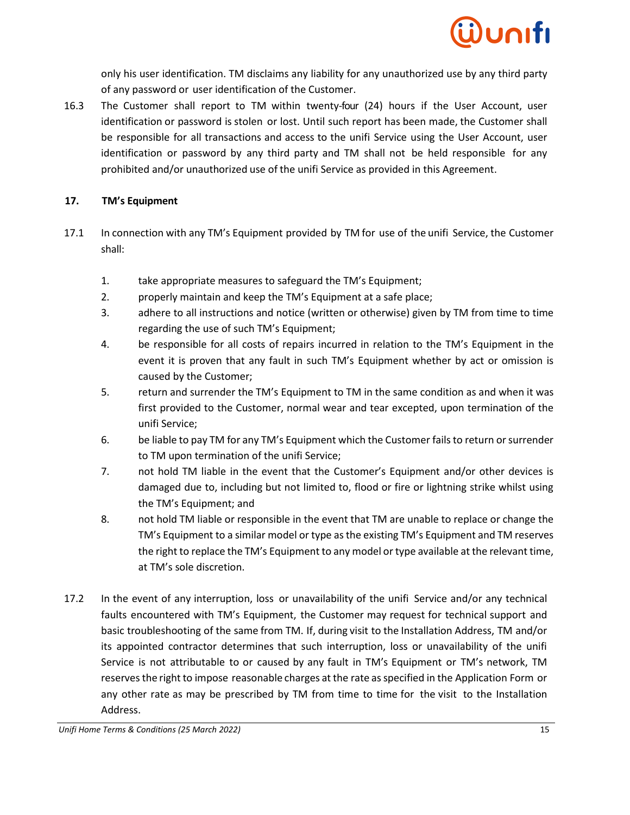

only his user identification. TM disclaims any liability for any unauthorized use by any third party of any password or user identification of the Customer.

16.3 The Customer shall report to TM within twenty-four (24) hours if the User Account, user identification or password is stolen or lost. Until such report has been made, the Customer shall be responsible for all transactions and access to the unifi Service using the User Account, user identification or password by any third party and TM shall not be held responsible for any prohibited and/or unauthorized use of the unifi Service as provided in this Agreement.

#### **17. TM's Equipment**

- 17.1 In connection with any TM's Equipment provided by TM for use of the unifi Service, the Customer shall:
	- 1. take appropriate measures to safeguard the TM's Equipment;
	- 2. properly maintain and keep the TM's Equipment at a safe place;
	- 3. adhere to all instructions and notice (written or otherwise) given by TM from time to time regarding the use of such TM's Equipment;
	- 4. be responsible for all costs of repairs incurred in relation to the TM's Equipment in the event it is proven that any fault in such TM's Equipment whether by act or omission is caused by the Customer;
	- 5. return and surrender the TM's Equipment to TM in the same condition as and when it was first provided to the Customer, normal wear and tear excepted, upon termination of the unifi Service;
	- 6. be liable to pay TM for any TM's Equipment which the Customer fails to return or surrender to TM upon termination of the unifi Service;
	- 7. not hold TM liable in the event that the Customer's Equipment and/or other devices is damaged due to, including but not limited to, flood or fire or lightning strike whilst using the TM's Equipment; and
	- 8. not hold TM liable or responsible in the event that TM are unable to replace or change the TM's Equipment to a similar model or type as the existing TM's Equipment and TM reserves the right to replace the TM's Equipment to any model or type available at the relevant time, at TM's sole discretion.
- 17.2 In the event of any interruption, loss or unavailability of the unifi Service and/or any technical faults encountered with TM's Equipment, the Customer may request for technical support and basic troubleshooting of the same from TM. If, during visit to the Installation Address, TM and/or its appointed contractor determines that such interruption, loss or unavailability of the unifi Service is not attributable to or caused by any fault in TM's Equipment or TM's network, TM reserves the right to impose reasonable charges at the rate as specified in the Application Form or any other rate as may be prescribed by TM from time to time for the visit to the Installation Address.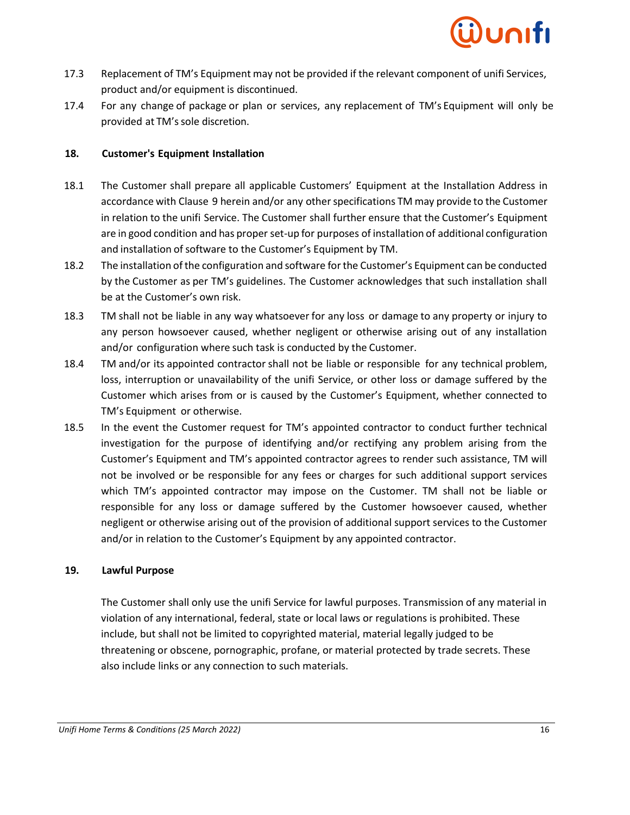

- 17.3 Replacement of TM's Equipment may not be provided if the relevant component of unifi Services, product and/or equipment is discontinued.
- 17.4 For any change of package or plan or services, any replacement of TM's Equipment will only be provided at TM's sole discretion.

#### **18. Customer's Equipment Installation**

- 18.1 The Customer shall prepare all applicable Customers' Equipment at the Installation Address in accordance with Clause 9 herein and/or any other specifications TM may provide to the Customer in relation to the unifi Service. The Customer shall further ensure that the Customer's Equipment are in good condition and has proper set-up for purposes of installation of additional configuration and installation of software to the Customer's Equipment by TM.
- 18.2 The installation ofthe configuration and software forthe Customer's Equipment can be conducted by the Customer as per TM's guidelines. The Customer acknowledges that such installation shall be at the Customer's own risk.
- 18.3 TM shall not be liable in any way whatsoever for any loss or damage to any property or injury to any person howsoever caused, whether negligent or otherwise arising out of any installation and/or configuration where such task is conducted by the Customer.
- 18.4 TM and/or its appointed contractor shall not be liable or responsible for any technical problem, loss, interruption or unavailability of the unifi Service, or other loss or damage suffered by the Customer which arises from or is caused by the Customer's Equipment, whether connected to TM's Equipment or otherwise.
- 18.5 In the event the Customer request for TM's appointed contractor to conduct further technical investigation for the purpose of identifying and/or rectifying any problem arising from the Customer's Equipment and TM's appointed contractor agrees to render such assistance, TM will not be involved or be responsible for any fees or charges for such additional support services which TM's appointed contractor may impose on the Customer. TM shall not be liable or responsible for any loss or damage suffered by the Customer howsoever caused, whether negligent or otherwise arising out of the provision of additional support services to the Customer and/or in relation to the Customer's Equipment by any appointed contractor.

#### **19. Lawful Purpose**

The Customer shall only use the unifi Service for lawful purposes. Transmission of any material in violation of any international, federal, state or local laws or regulations is prohibited. These include, but shall not be limited to copyrighted material, material legally judged to be threatening or obscene, pornographic, profane, or material protected by trade secrets. These also include links or any connection to such materials.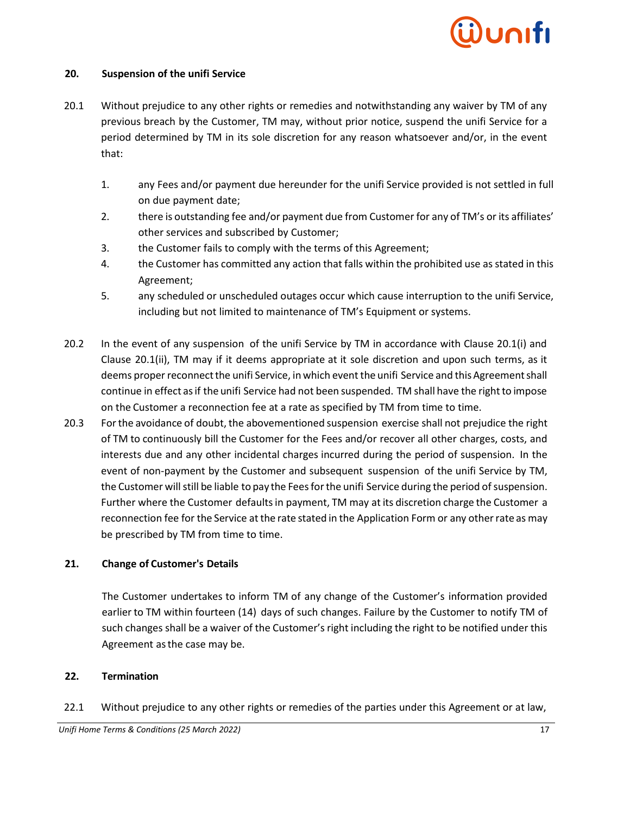#### **20. Suspension of the unifi Service**

- 20.1 Without prejudice to any other rights or remedies and notwithstanding any waiver by TM of any previous breach by the Customer, TM may, without prior notice, suspend the unifi Service for a period determined by TM in its sole discretion for any reason whatsoever and/or, in the event that:
	- 1. any Fees and/or payment due hereunder for the unifi Service provided is not settled in full on due payment date;
	- 2. there is outstanding fee and/or payment due from Customer for any of TM's or its affiliates' other services and subscribed by Customer;
	- 3. the Customer fails to comply with the terms of this Agreement;
	- 4. the Customer has committed any action that falls within the prohibited use as stated in this Agreement;
	- 5. any scheduled or unscheduled outages occur which cause interruption to the unifi Service, including but not limited to maintenance of TM's Equipment or systems.
- 20.2 In the event of any suspension of the unifi Service by TM in accordance with Clause 20.1(i) and Clause 20.1(ii), TM may if it deems appropriate at it sole discretion and upon such terms, as it deems proper reconnect the unifi Service, in which event the unifi Service and this Agreement shall continue in effect as if the unifi Service had not been suspended. TM shall have the right to impose on the Customer a reconnection fee at a rate as specified by TM from time to time.
- 20.3 Forthe avoidance of doubt, the abovementioned suspension exercise shall not prejudice the right of TM to continuously bill the Customer for the Fees and/or recover all other charges, costs, and interests due and any other incidental charges incurred during the period of suspension. In the event of non-payment by the Customer and subsequent suspension of the unifi Service by TM, the Customer will still be liable to pay the Fees forthe unifi Service during the period of suspension. Further where the Customer defaults in payment, TM may at its discretion charge the Customer a reconnection fee for the Service at the rate stated in the Application Form or any other rate as may be prescribed by TM from time to time.

#### **21. Change of Customer's Details**

The Customer undertakes to inform TM of any change of the Customer's information provided earlier to TM within fourteen (14) days of such changes. Failure by the Customer to notify TM of such changes shall be a waiver of the Customer's right including the right to be notified under this Agreement asthe case may be.

#### **22. Termination**

22.1 Without prejudice to any other rights or remedies of the parties under this Agreement or at law,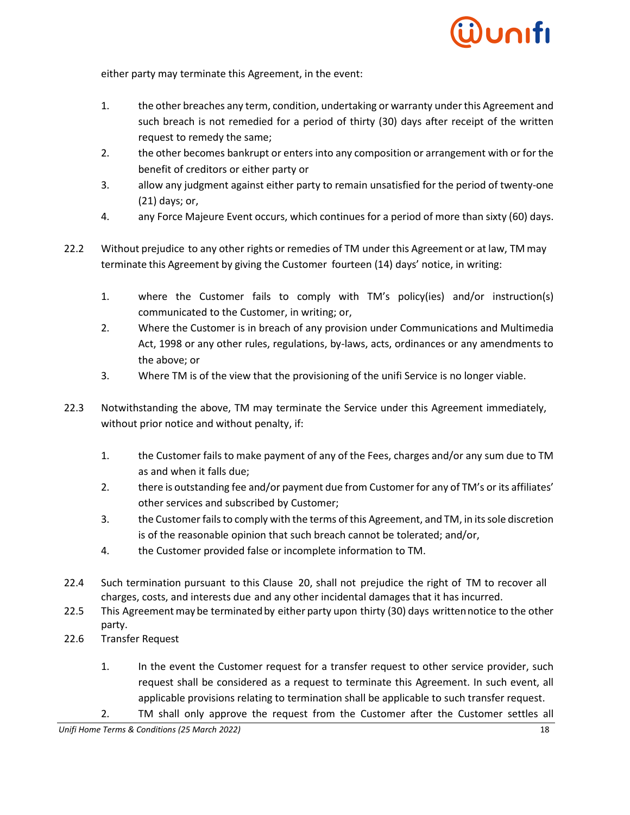

either party may terminate this Agreement, in the event:

- 1. the other breaches any term, condition, undertaking or warranty underthis Agreement and such breach is not remedied for a period of thirty (30) days after receipt of the written request to remedy the same;
- 2. the other becomes bankrupt or enters into any composition or arrangement with or for the benefit of creditors or either party or
- 3. allow any judgment against either party to remain unsatisfied for the period of twenty-one (21) days; or,
- 4. any Force Majeure Event occurs, which continues for a period of more than sixty (60) days.
- 22.2 Without prejudice to any other rights or remedies of TM under this Agreement or at law, TM may terminate this Agreement by giving the Customer fourteen (14) days' notice, in writing:
	- 1. where the Customer fails to comply with TM's policy(ies) and/or instruction(s) communicated to the Customer, in writing; or,
	- 2. Where the Customer is in breach of any provision under Communications and Multimedia Act, 1998 or any other rules, regulations, by-laws, acts, ordinances or any amendments to the above; or
	- 3. Where TM is of the view that the provisioning of the unifi Service is no longer viable.
- 22.3 Notwithstanding the above, TM may terminate the Service under this Agreement immediately, without prior notice and without penalty, if:
	- 1. the Customer fails to make payment of any of the Fees, charges and/or any sum due to TM as and when it falls due;
	- 2. there is outstanding fee and/or payment due from Customer for any of TM's or its affiliates' other services and subscribed by Customer;
	- 3. the Customer failsto comply with the terms ofthis Agreement, and TM, in itssole discretion is of the reasonable opinion that such breach cannot be tolerated; and/or,
	- 4. the Customer provided false or incomplete information to TM.
- 22.4 Such termination pursuant to this Clause 20, shall not prejudice the right of TM to recover all charges, costs, and interests due and any other incidental damages that it has incurred.
- 22.5 This Agreement may be terminated by either party upon thirty (30) days written notice to the other party.
- 22.6 Transfer Request
	- 1. In the event the Customer request for a transfer request to other service provider, such request shall be considered as a request to terminate this Agreement. In such event, all applicable provisions relating to termination shall be applicable to such transfer request.
	- 2. TM shall only approve the request from the Customer after the Customer settles all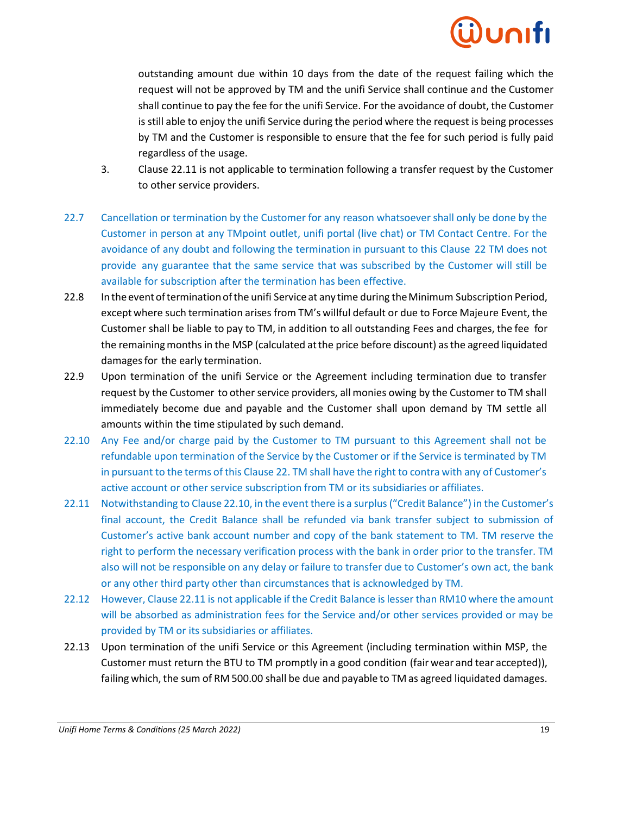outstanding amount due within 10 days from the date of the request failing which the request will not be approved by TM and the unifi Service shall continue and the Customer shall continue to pay the fee for the unifi Service. For the avoidance of doubt, the Customer is still able to enjoy the unifi Service during the period where the request is being processes by TM and the Customer is responsible to ensure that the fee for such period is fully paid regardless of the usage.

- 3. Clause 22.11 is not applicable to termination following a transfer request by the Customer to other service providers.
- 22.7 Cancellation or termination by the Customer for any reason whatsoever shall only be done by the Customer in person at any TMpoint outlet, unifi portal (live chat) or TM Contact Centre. For the avoidance of any doubt and following the termination in pursuant to this Clause 22 TM does not provide any guarantee that the same service that was subscribed by the Customer will still be available for subscription after the termination has been effective.
- 22.8 Inthe eventofterminationofthe unifi Serviceat any time during theMinimum Subscription Period, except where such termination arises from TM's willful default or due to Force Majeure Event, the Customer shall be liable to pay to TM, in addition to all outstanding Fees and charges, the fee for the remaining months in the MSP (calculated at the price before discount) as the agreed liquidated damages for the early termination.
- 22.9 Upon termination of the unifi Service or the Agreement including termination due to transfer request by the Customer to other service providers, all monies owing by the Customer to TM shall immediately become due and payable and the Customer shall upon demand by TM settle all amounts within the time stipulated by such demand.
- 22.10 Any Fee and/or charge paid by the Customer to TM pursuant to this Agreement shall not be refundable upon termination of the Service by the Customer or if the Service is terminated by TM in pursuant to the terms of this Clause 22. TM shall have the right to contra with any of Customer's active account or other service subscription from TM or its subsidiaries or affiliates.
- 22.11 Notwithstanding to Clause 22.10, in the event there is a surplus ("Credit Balance") in the Customer's final account, the Credit Balance shall be refunded via bank transfer subject to submission of Customer's active bank account number and copy of the bank statement to TM. TM reserve the right to perform the necessary verification process with the bank in order prior to the transfer. TM also will not be responsible on any delay or failure to transfer due to Customer's own act, the bank or any other third party other than circumstances that is acknowledged by TM.
- 22.12 However, Clause 22.11 is not applicable if the Credit Balance is lesser than RM10 where the amount will be absorbed as administration fees for the Service and/or other services provided or may be provided by TM or its subsidiaries or affiliates.
- 22.13 Upon termination of the unifi Service or this Agreement (including termination within MSP, the Customer must return the BTU to TM promptly in a good condition (fair wear and tear accepted)), failing which, the sum of RM 500.00 shall be due and payable to TM as agreed liquidated damages.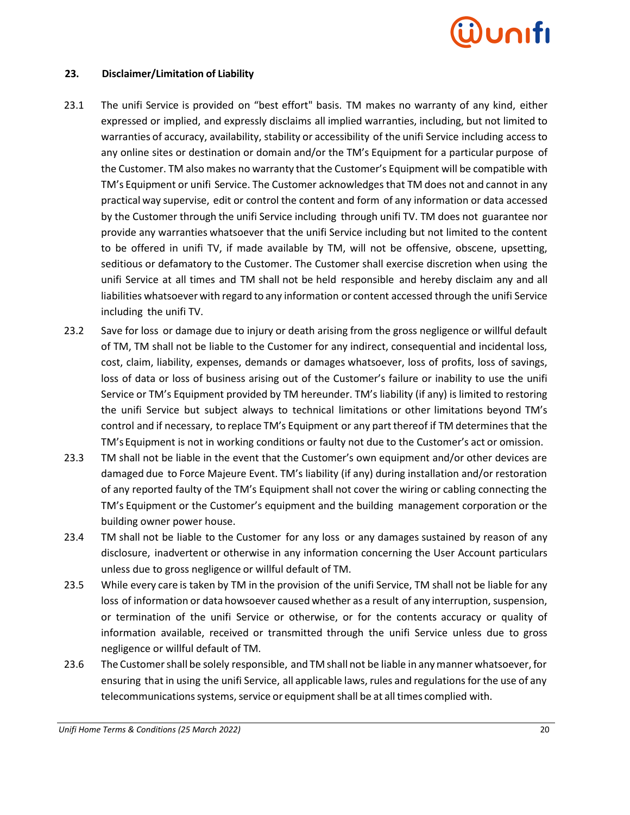

#### **23. Disclaimer/Limitation of Liability**

- 23.1 The unifi Service is provided on "best effort" basis. TM makes no warranty of any kind, either expressed or implied, and expressly disclaims all implied warranties, including, but not limited to warranties of accuracy, availability, stability or accessibility of the unifi Service including accessto any online sites or destination or domain and/or the TM's Equipment for a particular purpose of the Customer. TM also makes no warranty that the Customer's Equipment will be compatible with TM's Equipment or unifi Service. The Customer acknowledges that TM does not and cannot in any practical way supervise, edit or control the content and form of any information or data accessed by the Customer through the unifi Service including through unifi TV. TM does not guarantee nor provide any warranties whatsoever that the unifi Service including but not limited to the content to be offered in unifi TV, if made available by TM, will not be offensive, obscene, upsetting, seditious or defamatory to the Customer. The Customer shall exercise discretion when using the unifi Service at all times and TM shall not be held responsible and hereby disclaim any and all liabilities whatsoever with regard to any information or content accessed through the unifi Service including the unifi TV.
- 23.2 Save for loss or damage due to injury or death arising from the gross negligence or willful default of TM, TM shall not be liable to the Customer for any indirect, consequential and incidental loss, cost, claim, liability, expenses, demands or damages whatsoever, loss of profits, loss of savings, loss of data or loss of business arising out of the Customer's failure or inability to use the unifi Service or TM's Equipment provided by TM hereunder. TM's liability (if any) is limited to restoring the unifi Service but subject always to technical limitations or other limitations beyond TM's control and if necessary, to replace TM's Equipment or any part thereof if TM determines that the TM'sEquipment is not in working conditions or faulty not due to the Customer's act or omission.
- 23.3 TM shall not be liable in the event that the Customer's own equipment and/or other devices are damaged due to Force Majeure Event. TM's liability (if any) during installation and/or restoration of any reported faulty of the TM's Equipment shall not cover the wiring or cabling connecting the TM's Equipment or the Customer's equipment and the building management corporation or the building owner power house.
- 23.4 TM shall not be liable to the Customer for any loss or any damages sustained by reason of any disclosure, inadvertent or otherwise in any information concerning the User Account particulars unless due to gross negligence or willful default of TM.
- 23.5 While every care is taken by TM in the provision of the unifi Service, TM shall not be liable for any loss of information or data howsoever caused whether as a result of any interruption, suspension, or termination of the unifi Service or otherwise, or for the contents accuracy or quality of information available, received or transmitted through the unifi Service unless due to gross negligence or willful default of TM.
- 23.6 The Customershall be solely responsible, and TM shall not be liable in anymanner whatsoever, for ensuring that in using the unifi Service, all applicable laws, rules and regulationsfor the use of any telecommunications systems, service or equipment shall be at all times complied with.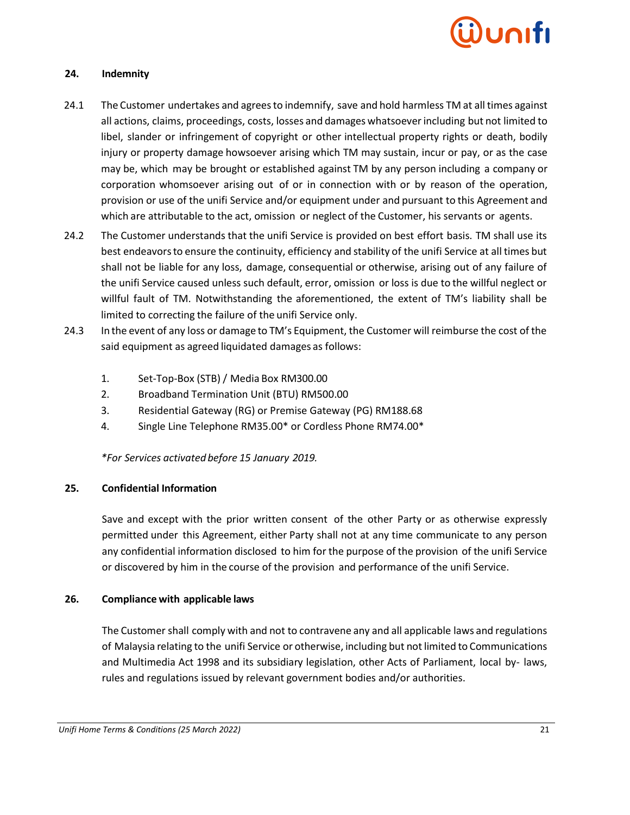

#### **24. Indemnity**

- 24.1 The Customer undertakes and agrees to indemnify, save and hold harmless TM at all times against all actions, claims, proceedings, costs, losses and damages whatsoeverincluding but not limited to libel, slander or infringement of copyright or other intellectual property rights or death, bodily injury or property damage howsoever arising which TM may sustain, incur or pay, or as the case may be, which may be brought or established against TM by any person including a company or corporation whomsoever arising out of or in connection with or by reason of the operation, provision or use of the unifi Service and/or equipment under and pursuant to this Agreement and which are attributable to the act, omission or neglect of the Customer, his servants or agents.
- 24.2 The Customer understands that the unifi Service is provided on best effort basis. TM shall use its best endeavorsto ensure the continuity, efficiency and stability of the unifi Service at all times but shall not be liable for any loss, damage, consequential or otherwise, arising out of any failure of the unifi Service caused unless such default, error, omission or loss is due to the willful neglect or willful fault of TM. Notwithstanding the aforementioned, the extent of TM's liability shall be limited to correcting the failure of the unifi Service only.
- 24.3 In the event of any loss or damage to TM's Equipment, the Customer will reimburse the cost of the said equipment as agreed liquidated damages as follows:
	- 1. Set-Top-Box (STB) / Media Box RM300.00
	- 2. Broadband Termination Unit (BTU) RM500.00
	- 3. Residential Gateway (RG) or Premise Gateway (PG) RM188.68
	- 4. Single Line Telephone RM35.00\* or Cordless Phone RM74.00\*

*\*For Services activated before 15 January 2019.*

### **25. Confidential Information**

Save and except with the prior written consent of the other Party or as otherwise expressly permitted under this Agreement, either Party shall not at any time communicate to any person any confidential information disclosed to him for the purpose of the provision of the unifi Service or discovered by him in the course of the provision and performance of the unifi Service.

### **26. Compliance with applicable laws**

The Customer shall comply with and not to contravene any and all applicable laws and regulations of Malaysia relating to the unifi Service or otherwise, including but notlimited to Communications and Multimedia Act 1998 and its subsidiary legislation, other Acts of Parliament, local by- laws, rules and regulations issued by relevant government bodies and/or authorities.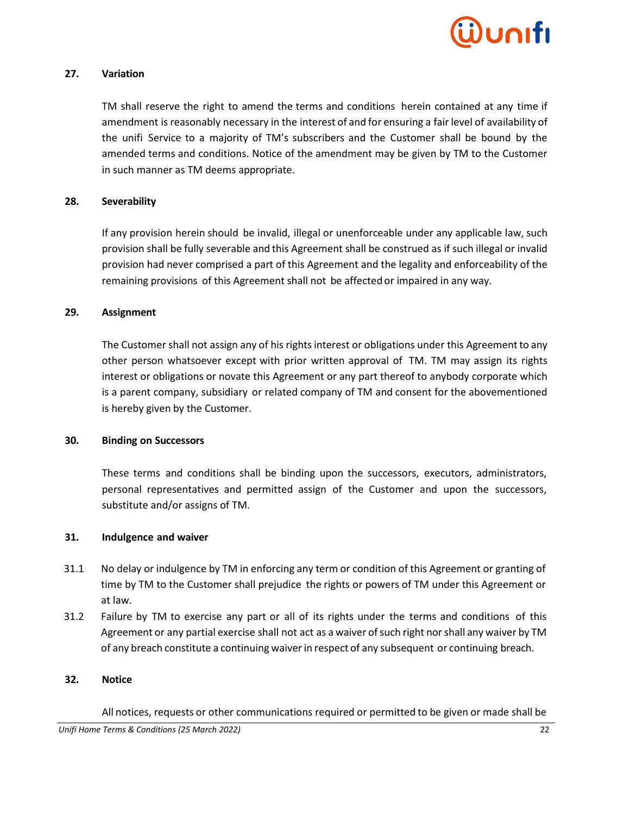

#### **27. Variation**

TM shall reserve the right to amend the terms and conditions herein contained at any time if amendment is reasonably necessary in the interest of and for ensuring a fair level of availability of the unifi Service to a majority of TM's subscribers and the Customer shall be bound by the amended terms and conditions. Notice of the amendment may be given by TM to the Customer in such manner as TM deems appropriate.

#### **28. Severability**

If any provision herein should be invalid, illegal or unenforceable under any applicable law, such provision shall be fully severable and this Agreement shall be construed as if such illegal or invalid provision had never comprised a part of this Agreement and the legality and enforceability of the remaining provisions of this Agreement shall not be affected or impaired in any way.

#### **29. Assignment**

The Customer shall not assign any of his rights interest or obligations under this Agreement to any other person whatsoever except with prior written approval of TM. TM may assign its rights interest or obligations or novate this Agreement or any part thereof to anybody corporate which is a parent company, subsidiary or related company of TM and consent for the abovementioned is hereby given by the Customer.

#### **30. Binding on Successors**

These terms and conditions shall be binding upon the successors, executors, administrators, personal representatives and permitted assign of the Customer and upon the successors, substitute and/or assigns of TM.

#### **31. Indulgence and waiver**

- 31.1 No delay or indulgence by TM in enforcing any term or condition of this Agreement or granting of time by TM to the Customer shall prejudice the rights or powers of TM under this Agreement or at law.
- 31.2 Failure by TM to exercise any part or all of its rights under the terms and conditions of this Agreement or any partial exercise shall not act as a waiver of such right nor shall any waiver by TM of any breach constitute a continuing waiverin respect of any subsequent or continuing breach.

#### **32. Notice**

All notices, requests or other communications required or permitted to be given or made shall be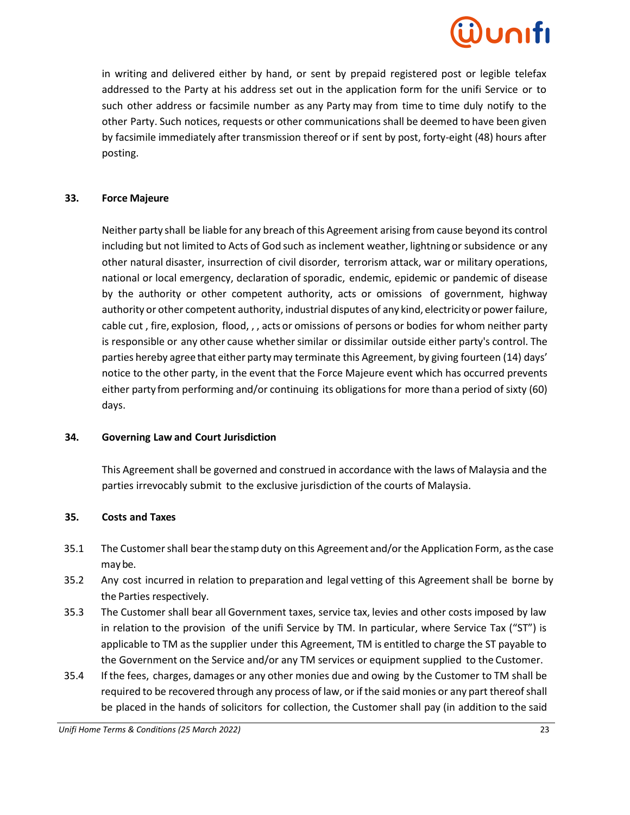# unifi

in writing and delivered either by hand, or sent by prepaid registered post or legible telefax addressed to the Party at his address set out in the application form for the unifi Service or to such other address or facsimile number as any Party may from time to time duly notify to the other Party. Such notices, requests or other communications shall be deemed to have been given by facsimile immediately after transmission thereof or if sent by post, forty-eight (48) hours after posting.

#### **33. Force Majeure**

Neither party shall be liable for any breach of this Agreement arising from cause beyond its control including but not limited to Acts of God such as inclement weather, lightning or subsidence or any other natural disaster, insurrection of civil disorder, terrorism attack, war or military operations, national or local emergency, declaration of sporadic, endemic, epidemic or pandemic of disease by the authority or other competent authority, acts or omissions of government, highway authority or other competent authority, industrial disputes of any kind, electricityor power failure, cable cut , fire, explosion, flood, , , acts or omissions of persons or bodies for whom neither party is responsible or any other cause whether similar or dissimilar outside either party's control. The parties hereby agree that either partymay terminate this Agreement, by giving fourteen (14) days' notice to the other party, in the event that the Force Majeure event which has occurred prevents either party from performing and/or continuing its obligations for more than a period of sixty (60) days.

#### **34. Governing Law and Court Jurisdiction**

This Agreement shall be governed and construed in accordance with the laws of Malaysia and the parties irrevocably submit to the exclusive jurisdiction of the courts of Malaysia.

#### **35. Costs and Taxes**

- 35.1 The Customer shall bear thestamp duty on this Agreement and/or the Application Form, asthe case maybe.
- 35.2 Any cost incurred in relation to preparation and legal vetting of this Agreement shall be borne by the Parties respectively.
- 35.3 The Customer shall bear all Government taxes, service tax, levies and other costs imposed by law in relation to the provision of the unifi Service by TM. In particular, where Service Tax ("ST") is applicable to TM as the supplier under this Agreement, TM is entitled to charge the ST payable to the Government on the Service and/or any TM services or equipment supplied to the Customer.
- 35.4 If the fees, charges, damages or any other monies due and owing by the Customer to TM shall be required to be recovered through any process of law, or if the said monies or any part thereofshall be placed in the hands of solicitors for collection, the Customer shall pay (in addition to the said